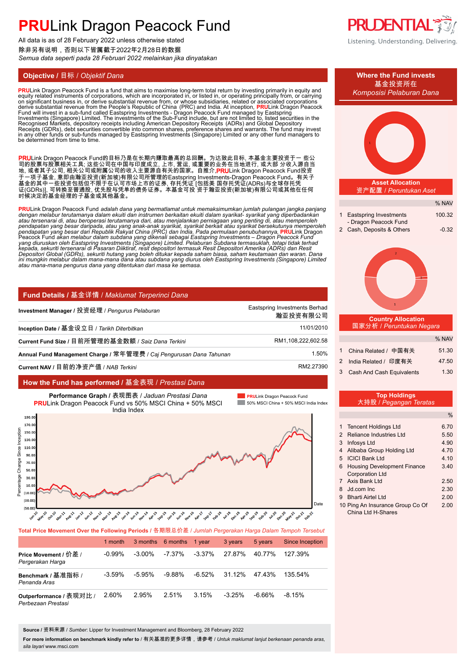All data is as of 28 February 2022 unless otherwise stated 除非另有说明,否则以下皆属截于2022年2月28日的数据 *Semua data seperti pada 28 Februari 2022 melainkan jika dinyatakan*

**PRU**Link Dragon Peacock Fund is a fund that aims to maximise long-term total return by investing primarily in equity and<br>equity related instruments of corporations, which are incorporated in, or listed in, or operating pr on significant business in, or derive substantial revenue from, or whose subsidiaries, related or associated corporations<br>derive substantial revenue from the People's Republic of China (PRC) and India. At inception, **PRU**L Recognised Markets, depository receipts including American Depository Receipts (ADRs) and Global Depository<br>Receipts (GDRs), debt securities convertible into common shares, preference shares and warrants. The fund may inve be determined from time to time.

**PRU**Link Dragon Peacock Fund的目标乃是在长期内赚取最高的总回酬。为达致此目标, 本基金主要投资于一 些公 司的股票与股票相关工具; 这些公司在中国与印度成立, 上市, 营运, 或重要的业务在当地进行, 或大部 分收入源自当 地, 或者其子公司, 相关公司或附属公司的收入主要源自有关的国家。自推介,**PRU**Link Dragon Peacock Fund投资 于一项子基金, 意即由瀚亚投资(新加坡)有限公司所管理的Eastspring Investments-Dragon Peacock Fund。有关子 基金的其中一些投资包括但不限于在认可市场上市的证券, 存托凭证 [包括美 国存托凭证(ADRs)与全球存托凭 证(GDRs)], 可转换至普通股, 优先股与凭单的债务证券。本基金可投 资于瀚亚投资(新加坡)有限公司或其他在任何 时候决定的基金经理的子基金或其他基金。

**PRU**Link Dragon Peacock Fund *adalah dana yang bermatlamat untuk memaksimumkan jumlah pulangan jangka panjang*  dengan melabur terutamanya dalam ekuiti dan instrumen berkaitan ekuiti dalam syarikat- syarikat yang diperbadankan<br>atau tersenarai di, atau beroperasi terutamanya dari, atau menjalankan perniagaan yang penting di, atau mem pendapatan yang besar daripada, atau yang anak-anak syarikat, syarikat berkait atau syarikat bersekutunya memperoleh<br>pendapatan yang besar dari Republik Rakyat China (PRC) dan India. Pada permulaan penubuhannya, PRULink Dr

### **Fund Details /** 基金详情 / *Maklumat Terperinci Dana*

| Investment Manager / 投资经理 / Pengurus Pelaburan                      | Eastspring Investments Berhad<br>瀚亚投资有限公司 |
|---------------------------------------------------------------------|-------------------------------------------|
| Inception Date / 基金设立日 / Tarikh Diterbitkan                         | 11/01/2010                                |
| Current Fund Size / 目前所管理的基金数额 / Saiz Dana Terkini                  | RM1,108,222,602.58                        |
| Annual Fund Management Charge / 常年管理费 / Caj Pengurusan Dana Tahunan | 1.50%                                     |
| Current NAV / 目前的净资产值 / NAB Terkini                                 | RM2.27390                                 |

### **How the Fund has performed /** 基金表现 / *Prestasi Dana*



| Total Price Movement Over the Following Periods / 各期限总价差 / Jumlah Pergerakan Harga Dalam Tempoh Tersebut |           |           |                          |        |           |         |                 |  |  |
|----------------------------------------------------------------------------------------------------------|-----------|-----------|--------------------------|--------|-----------|---------|-----------------|--|--|
|                                                                                                          | 1 month   |           | 3 months 6 months 1 year |        | 3 years   | 5 years | Since Inception |  |  |
| Price Movement / 价差 /<br>Pergerakan Harga                                                                | -0.99%    | $-3.00\%$ | -7.37%                   | -3.37% | 27.87%    | 40.77%  | 127.39%         |  |  |
| Benchmark / 基准指标 /<br>Penanda Aras                                                                       | $-3.59\%$ | $-5.95\%$ | $-9.88\%$                | -6.52% | 31.12%    | 47 43%  | 135 54%         |  |  |
| Outperformance / 表现对比 /<br>Perbezaan Prestasi                                                            | 2.60%     | 2.95%     | 2.51%                    | 3.15%  | $-3.25\%$ | -6.66%  | $-8.15\%$       |  |  |

**Source /** 资料来源 / *Sumber*: Lipper for Investment Management and Bloomberg, 28 February 2022

**For more information on benchmark kindly refer to** / 有关基准的更多详情,请参考 / *Untuk maklumat lanjut berkenaan penanda aras, sila layari* www.msci.com





- 9 Bharti Airtel Ltd 2.00
- 10 Ping An Insurance Group Co Of 2.00 China Ltd H-Shares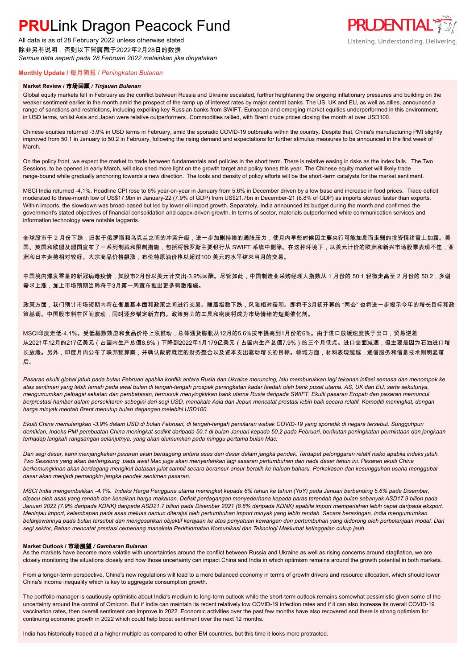All data is as of 28 February 2022 unless otherwise stated 除非另有说明,否则以下皆属截于2022年2月28日的数据 *Semua data seperti pada 28 Februari 2022 melainkan jika dinyatakan*



# **Monthly Update /** 每月简报 / *Peningkatan Bulanan*

#### **Market Review /** 市场回顾 */ Tinjauan Bulanan*

Global equity markets fell in February as the conflict between Russia and Ukraine escalated, further heightening the ongoing inflationary pressures and building on the weaker sentiment earlier in the month amid the prospect of the ramp up of interest rates by major central banks. The US, UK and EU, as well as allies, announced a range of sanctions and restrictions, including expelling key Russian banks from SWIFT. European and emerging market equities underperformed in this environment, in USD terms, whilst Asia and Japan were relative outperformers. Commodities rallied, with Brent crude prices closing the month at over USD100.

Chinese equities returned -3.9% in USD terms in February, amid the sporadic COVID-19 outbreaks within the country. Despite that, China's manufacturing PMI slightly improved from 50.1 in January to 50.2 in February, following the rising demand and expectations for further stimulus measures to be announced in the first week of March.

On the policy front, we expect the market to trade between fundamentals and policies in the short term. There is relative easing in risks as the index falls. The Two Sessions, to be opened in early March, will also shed more light on the growth target and policy tones this year. The Chinese equity market will likely trade range-bound while gradually anchoring towards a new direction. The tools and density of policy efforts will be the short-term catalysts for the market sentiment.

MSCI India returned -4.1%. Headline CPI rose to 6% year-on-year in January from 5.6% in December driven by a low base and increase in food prices. Trade deficit moderated to three-month low of US\$17.9bn in January-22 (7.9% of GDP) from US\$21.7bn in December-21 (8.8% of GDP) as imports slowed faster than exports. Within imports, the slowdown was broad-based but led by lower oil import growth. Separately, India announced its budget during the month and confirmed the government's stated objectives of financial consolidation and capex-driven growth. In terms of sector, materials outperformed while communication services and information technology were notable laggards.

全球股市于 2 月份下跌,归咎于俄罗斯和乌克兰之间的冲突升级,进一步加剧持续的通胀压力,使月内早些时候因主要央行可能加息而走弱的投资情绪雪上加霜。美 国、英国和欧盟及盟国宣布了一系列制裁和限制措施,包括将俄罗斯主要银行从 SWIFT 系统中剔除。在这种环境下,以美元计价的欧洲和新兴市场股票表现不佳,亚 洲和日本走势相对较好。大宗商品价格飙涨,布伦特原油价格以超过100 美元的水平结束当月的交易。

中国境内爆发零星的新冠病毒疫情,其股市2月份以美元计交出-3.9%回酬。尽管如此,中国制造业采购经理人指数从 1 月份的 50.1 轻微走高至 2 月份的 50.2,多谢 需求上涨,加上市场预期当局将于3月第一周宣布推出更多刺激措施。

政策方面,我们预计市场短期内将在衡量基本面和政策之间进行交易。随着指数下跌,风险相对缓和。即将于3月初开幕的 "两会" 也将进一步揭示今年的增长目标和政 策基调。中国股市料在区间波动,同时逐步锚定新方向。政策努力的工具和密度将成为市场情绪的短期催化剂。

MSCI印度走低-4.1%。受低基数效应和食品价格上涨推动,总体通货膨胀从12月的5.6%按年提高到1月份的6%。由于进口放缓速度快于出口,贸易逆差 从2021年12月的217亿美元(占国内生产总值8.8%)下降到2022年1月179亿美元(占国内生产总值7.9%)的三个月低点。进口全面减速,但主要是因为石油进口增 长放缓。另外,印度月内公布了联邦预算案,并确认政府既定的财务整合以及资本支出驱动增长的目标。领域方面,材料表现超越,通信服务和信息技术则明显落 后。

*Pasaran ekuiti global jatuh pada bulan Februari apabila konflik antara Rusia dan Ukraine meruncing, lalu memburukkan lagi tekanan inflasi semasa dan menompok ke atas sentimen yang lebih lemah pada awal bulan di tengah-tengah prospek peningkatan kadar faedah oleh bank pusat utama. AS, UK dan EU, serta sekutunya, mengumumkan pelbagai sekatan dan pembatasan, termasuk menyingkirkan bank utama Rusia daripada SWIFT. Ekuiti pasaran Eropah dan pasaran memuncul berprestasi hambar dalam persekitaran sebegini dari segi USD, manakala Asia dan Jepun mencatat prestasi lebih baik secara relatif. Komoditi meningkat, dengan harga minyak mentah Brent menutup bulan dagangan melebihi USD100.*

*Ekuiti China memulangkan -3.9% dalam USD di bulan Februari, di tengah-tengah penularan wabak COVID-19 yang sporadik di negara tersebut. Sungguhpun demikian, Indeks PMI pembuatan China meningkat sedikit daripada 50.1 di bulan Januari kepada 50.2 pada Februari, berikutan peningkatan permintaan dan jangkaan terhadap langkah rangsangan selanjutnya, yang akan diumumkan pada minggu pertama bulan Mac.*

*Dari segi dasar, kami menjangkakan pasaran akan berdagang antara asas dan dasar dalam jangka pendek. Terdapat pelonggaran relatif risiko apabila indeks jatuh. Two Sessions yang akan berlangsung pada awal Mac juga akan menyerlahkan lagi sasaran pertumbuhan dan nada dasar tahun ini. Pasaran ekuiti China berkemungkinan akan berdagang mengikut batasan julat sambil secara beransur-ansur beralih ke haluan baharu. Perkakasan dan kesungguhan usaha menggubal dasar akan menjadi pemangkin jangka pendek sentimen pasaran.*

*MSCI India mengembalikan -4.1%. Indeks Harga Pengguna utama meningkat kepada 6% tahun ke tahun (YoY) pada Januari berbanding 5.6% pada Disember, dipacu oleh asas yang rendah dan kenaikan harga makanan. Defisit perdagangan menyederhana kepada paras terendah tiga bulan sebanyak ASD17.9 bilion pada*  Januari 2022 (7.9% daripada KDNK) daripada ASD21.7 bilion pada Disember 2021 (8.8% daripada KDNK) apabila import memperlahan lebih cepat daripada eksport. *Meninjau import, kelembapan pada asas meluas namun diterajui oleh pertumbuhan import minyak yang lebih rendah. Secara berasingan, India mengumumkan belanjawannya pada bulan tersebut dan mengesahkan objektif kerajaan ke atas penyatuan kewangan dan pertumbuhan yang didorong oleh perbelanjaan modal. Dari segi sektor, Bahan mencatat prestasi cemerlang manakala Perkhidmatan Komunikasi dan Teknologi Maklumat ketinggalan cukup jauh.*

#### **Market Outlook /** 市场展望 */ Gambaran Bulanan*

As the markets have become more volatile with uncertainties around the conflict between Russia and Ukraine as well as rising concerns around stagflation, we are closely monitoring the situations closely and how those uncertainty can impact China and India in which optimism remains around the growth potential in both markets.

From a longer-term perspective, China's new regulations will lead to a more balanced economy in terms of growth drivers and resource allocation, which should lower China's income inequality which is key to aggregate consumption growth.

The portfolio manager is cautiously optimistic about India's medium to long-term outlook while the short-term outlook remains somewhat pessimistic given some of the uncertainty around the control of Omicron. But if India can maintain its recent relatively low COVID-19 infection rates and if it can also increase its overall COVID-19 vaccination rates, then overall sentiment can improve in 2022. Economic activities over the past few months have also recovered and there is strong optimism for continuing economic growth in 2022 which could help boost sentiment over the next 12 months.

India has historically traded at a higher multiple as compared to other EM countries, but this time it looks more protracted.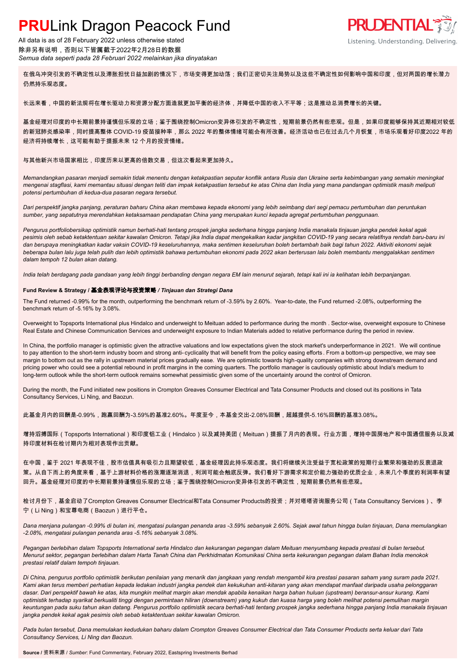All data is as of 28 February 2022 unless otherwise stated 除非另有说明,否则以下皆属截于2022年2月28日的数据 *Semua data seperti pada 28 Februari 2022 melainkan jika dinyatakan*



Listening. Understanding. Delivering.

在俄乌冲突引发的不确定性以及滞胀担忧日益加剧的情况下,市场变得更加动荡;我们正密切关注局势以及这些不确定性如何影响中国和印度,但对两国的增长潜力 仍然持乐观态度。

长远来看,中国的新法规将在增长驱动力和资源分配方面造就更加平衡的经济体,并降低中国的收入不平等;这是推动总消费增长的关键。

基金经理对印度的中长期前景持谨慎但乐观的立场;鉴于围绕控制Omicron变异体引发的不确定性,短期前景仍然有些悲观。但是,如果印度能够保持其近期相对较低 的新冠肺炎感染率,同时提高整体 COVID-19 疫苗接种率,那么 2022 年的整体情绪可能会有所改善。经济活动也已在过去几个月恢复,市场乐观看好印度2022 年的 经济将持续增长,这可能有助于提振未来 12 个月的投资情绪。

# 与其他新兴市场国家相比,印度历来以更高的倍数交易,但这次看起来更加持久。

*Memandangkan pasaran menjadi semakin tidak menentu dengan ketakpastian seputar konflik antara Rusia dan Ukraine serta kebimbangan yang semakin meningkat mengenai stagflasi, kami memantau situasi dengan teliti dan impak ketakpastian tersebut ke atas China dan India yang mana pandangan optimistik masih meliputi potensi pertumbuhan di kedua-dua pasaran negara tersebut.*

*Dari perspektif jangka panjang, peraturan baharu China akan membawa kepada ekonomi yang lebih seimbang dari segi pemacu pertumbuhan dan peruntukan sumber, yang sepatutnya merendahkan ketaksamaan pendapatan China yang merupakan kunci kepada agregat pertumbuhan penggunaan.*

*Pengurus portfoliobersikap optimistik namun berhati-hati tentang prospek jangka sederhana hingga panjang India manakala tinjauan jangka pendek kekal agak pesimis oleh sebab ketaktentuan sekitar kawalan Omicron. Tetapi jika India dapat mengekalkan kadar jangkitan COVID-19 yang secara relatifnya rendah baru-baru ini dan berupaya meningkatkan kadar vaksin COVID-19 keseluruhannya, maka sentimen keseluruhan boleh bertambah baik bagi tahun 2022. Aktiviti ekonomi sejak beberapa bulan lalu juga telah pulih dan lebih optimistik bahawa pertumbuhan ekonomi pada 2022 akan berterusan lalu boleh membantu menggalakkan sentimen dalam tempoh 12 bulan akan datang.*

*India telah berdagang pada gandaan yang lebih tinggi berbanding dengan negara EM lain menurut sejarah, tetapi kali ini ia kelihatan lebih berpanjangan.*

### **Fund Review & Strategy /** 基金表现评论与投资策略 */ Tinjauan dan Strategi Dana*

The Fund returned -0.99% for the month, outperforming the benchmark return of -3.59% by 2.60%. Year-to-date, the Fund returned -2.08%, outperforming the benchmark return of -5.16% by 3.08%.

Overweight to Topsports International plus Hindalco and underweight to Meituan added to performance during the month . Sector-wise, overweight exposure to Chinese Real Estate and Chinese Communication Services and underweight exposure to Indian Materials added to relative performance during the period in review.

In China, the portfolio manager is optimistic given the attractive valuations and low expectations given the stock market's underperformance in 2021. We will continue to pay attention to the short-term industry boom and strong anti- cyclicality that will benefit from the policy easing efforts . From a bottom-up perspective, we may see margin to bottom out as the rally in upstream material prices gradually ease. We are optimistic towards high-quality companies with strong downstream demand and pricing power who could see a potential rebound in profit margins in the coming quarters. The portfolio manager is cautiously optimistic about India's medium to long-term outlook while the short-term outlook remains somewhat pessimistic given some of the uncertainty around the control of Omicron.

During the month, the Fund initiated new positions in Crompton Greaves Consumer Electrical and Tata Consumer Products and closed out its positions in Tata Consultancy Services, Li Ning, and Baozun.

此基金月内的回酬是-0.99%,跑赢回酬为-3.59%的基准2.60%。年度至今,本基金交出-2.08%回酬,超越提供-5.16%回酬的基准3.08%。

增持滔搏国际(Topsports International)和印度铝工业(Hindalco)以及减持美团(Meituan)提振了月内的表现。行业方面,增持中国房地产和中国通信服务以及减 持印度材料在检讨期内为相对表现作出贡献。

在中国,鉴于 2021 年表现不佳,股市估值具有吸引力且期望较低,基金经理因此持乐观态度。我们将继续关注受益于宽松政策的短期行业繁荣和强劲的反衰退政 策。从自下而上的角度来看,基于上游材料价格的涨潮逐渐消退,利润可能会触底反弹。我们看好下游需求和定价能力强劲的优质企业,未来几个季度的利润率有望 回升。基金经理对印度的中长期前景持谨慎但乐观的立场;鉴于围绕控制Omicron变异体引发的不确定性,短期前景仍然有些悲观。

检讨月份下,基金启动了Crompton Greaves Consumer Electrical和Tata Consumer Products的投资;并对塔塔咨询服务公司(Tata Consultancy Services)、李 宁(Li Ning)和宝尊电商(Baozun)进行平仓。

*Dana menjana pulangan -0.99% di bulan ini, mengatasi pulangan penanda aras -3.59% sebanyak 2.60%. Sejak awal tahun hingga bulan tinjauan, Dana memulangkan -2.08%, mengatasi pulangan penanda aras -5.16% sebanyak 3.08%.*

*Pegangan berlebihan dalam Topsports International serta Hindalco dan kekurangan pegangan dalam Meituan menyumbang kepada prestasi di bulan tersebut. Menurut sektor, pegangan berlebihan dalam Harta Tanah China dan Perkhidmatan Komunikasi China serta kekurangan pegangan dalam Bahan India menokok prestasi relatif dalam tempoh tinjauan.*

*Di China, pengurus portfolio optimistik berikutan penilaian yang menarik dan jangkaan yang rendah mengambil kira prestasi pasaran saham yang suram pada 2021. Kami akan terus memberi perhatian kepada ledakan industri jangka pendek dan kekukuhan anti-kitaran yang akan mendapat manfaat daripada usaha pelonggaran dasar. Dari perspektif bawah ke atas, kita mungkin melihat margin akan mendak apabila kenaikan harga bahan huluan (upstream) beransur-ansur kurang. Kami optimistik terhadap syarikat berkualiti tinggi dengan permintaan hiliran (downstream) yang kukuh dan kuasa harga yang boleh melihat potensi pemulihan margin keuntungan pada suku tahun akan datang. Pengurus portfolio optimistik secara berhati-hati tentang prospek jangka sederhana hingga panjang India manakala tinjauan jangka pendek kekal agak pesimis oleh sebab ketaktentuan sekitar kawalan Omicron.*

*Pada bulan tersebut, Dana memulakan kedudukan baharu dalam Crompton Greaves Consumer Electrical dan Tata Consumer Products serta keluar dari Tata Consultancy Services, Li Ning dan Baozun.*